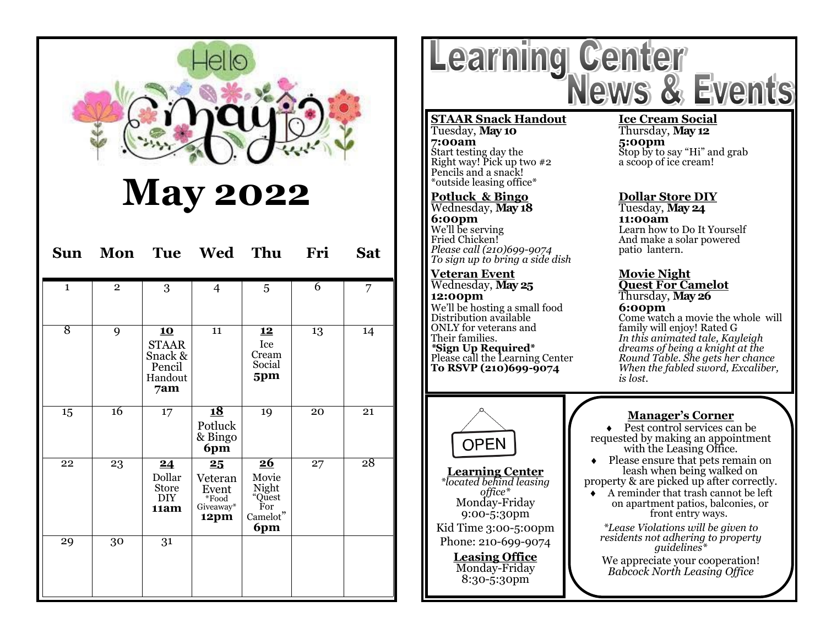

# **May 2022**

| Sun            | Mon            |                                                                  | Tue Wed Thu                                                       |                                                                                           | Fri            | <b>Sat</b> |
|----------------|----------------|------------------------------------------------------------------|-------------------------------------------------------------------|-------------------------------------------------------------------------------------------|----------------|------------|
| $\mathbf{1}$   | $\overline{2}$ | 3                                                                | $\overline{4}$                                                    | 5                                                                                         | $\overline{6}$ | 7          |
| $\overline{8}$ | 9              | <u>10</u><br><b>STAAR</b><br>Snack &<br>Pencil<br>Handout<br>7am | 11                                                                | <u>12</u><br>Ice<br>Cream<br>Social<br>5pm                                                | 13             | 14         |
| 15             | 16             | 17                                                               | <u>18</u><br>Potluck<br>& Bingo<br>6pm                            | 19                                                                                        | 20             | 21         |
| 22             | 23             | 24<br>Dollar<br>Store<br><b>DIY</b><br>11am                      | $25\phantom{.}$<br>Veteran<br>Event<br>*Food<br>Giveaway*<br>12pm | $\overline{\mathbf{26}}$<br>Movie<br>Night<br>"Quest<br>For<br>$\mbox{Carnelot}$ "<br>6pm | 27             | 28         |
| 29             | 30             | 31                                                               |                                                                   |                                                                                           |                |            |

Learning Center<br>News & Events

### **STAAR Snack Handout Ice Cream Social 7:00am** 5:00pm<br>
Start testing day the 5top by to Right way! Pick up two  $\#2$ Pencils and a snack! \*outside leasing office\*

## **Potluck & Bingo Dollar Store DIY** Wednesday, **May 18 6:00pm 11:00am**<br>
We'll be serving **the contract of the learn how** t *Please call (210)699-9074 To sign up to bring a side dish*

# **Veteran Event Movie Night** Wednesday, May 25<br>**12:00pm** We'll be hosting a small food **6:00pm**<br>Distribution available **6:00pm** ONLY for veterans and family will enjoy! Rated G<br>Their families. Their families.

# Thursday, **May 12**

 $\text{Stop}$  by to say "Hi" and grab a scoop of ice cream!

We'll be serving a measured by the learn how to Do It Yourself<br>
Fried Chicken! Tried Chicken! And make a solar powered<br>patio lantern.

**12:00pm** Thursday, **May 26**

Distribution available Come watch a movie the whole will<br>
ONLY for veterans and family will enjoy! Rated G Their families. *In this animated tale, Kayleigh \****Sign Up Required\*** *dreams of being a knight at the* Please call the Learning Center *Round Table. She gets her chance* **The FIGURE SECULAR FIGURE 19 AND FIGURE 19 ACT PLEASE CALL PLEASE PLEASE PLEASE PLEASE PLEASE PLEASE PLEASE PLEASE PLEASE PLEASE PLEASE PLEASE PLEASE PLEASE PLEASE PLEASE PLEASE PLEASE PLEASE PLEASE PLEASE PLEASE PLEASE P** *is lost.*



### **Manager's Corner**

◆ Pest control services can be requested by making an appointment with the Leasing Office.

 Please ensure that pets remain on leash when being walked on property & are picked up after correctly.

 A reminder that trash cannot be left on apartment patios, balconies, or front entry ways.

*\*Lease Violations will be given to residents not adhering to property guidelines\**

We appreciate your cooperation! *Babcock North Leasing Office*